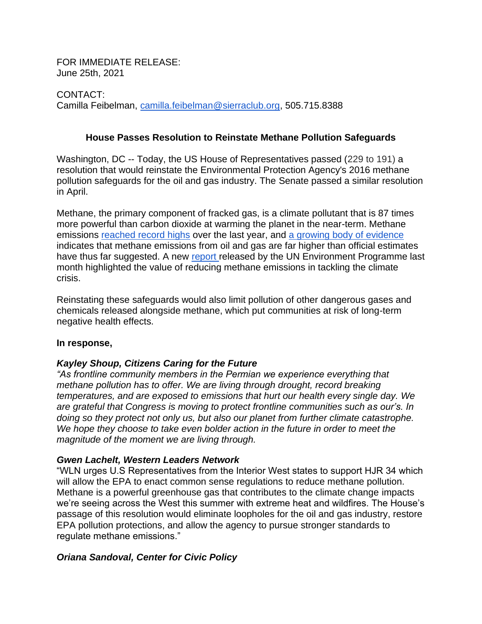FOR IMMEDIATE RELEASE: June 25th, 2021

CONTACT: Camilla Feibelman, [camilla.feibelman@sierraclub.org,](mailto:camilla.feibelman@sierraclub.org) 505.715.8388

### **House Passes Resolution to Reinstate Methane Pollution Safeguards**

Washington, DC -- Today, the US House of Representatives passed (229 to 191) a resolution that would reinstate the Environmental Protection Agency's 2016 methane pollution safeguards for the oil and gas industry. The Senate passed a similar resolution in April.

Methane, the primary component of fracked gas, is a climate pollutant that is 87 times more powerful than carbon dioxide at warming the planet in the near-term. Methane emissions [reached record highs](https://research.noaa.gov/article/ArtMID/587/ArticleID/2742/Despite-pandemic-shutdowns-carbon-dioxide-and-methane-surged-in-2020) over the last year, and [a growing body of](https://www.nytimes.com/2018/06/21/climate/methane-leaks.html) evidence indicates that methane emissions from oil and gas are far higher than official estimates have thus far suggested. A new [report r](https://www.unep.org/resources/report/global-methane-assessment-benefits-and-costs-mitigating-methane-emissions)eleased by the UN Environment Programme last month highlighted the value of reducing methane emissions in tackling the climate crisis.

Reinstating these safeguards would also limit pollution of other dangerous gases and chemicals released alongside methane, which put communities at risk of long-term negative health effects.

#### **In response,**

## *Kayley Shoup, Citizens Caring for the Future*

*"As frontline community members in the Permian we experience everything that methane pollution has to offer. We are living through drought, record breaking temperatures, and are exposed to emissions that hurt our health every single day. We are grateful that Congress is moving to protect frontline communities such as our's. In doing so they protect not only us, but also our planet from further climate catastrophe.*  We hope they choose to take even bolder action in the future in order to meet the *magnitude of the moment we are living through.*

#### *Gwen Lachelt, Western Leaders Network*

"WLN urges U.S Representatives from the Interior West states to support HJR 34 which will allow the EPA to enact common sense regulations to reduce methane pollution. Methane is a powerful greenhouse gas that contributes to the climate change impacts we're seeing across the West this summer with extreme heat and wildfires. The House's passage of this resolution would eliminate loopholes for the oil and gas industry, restore EPA pollution protections, and allow the agency to pursue stronger standards to regulate methane emissions."

#### *Oriana Sandoval, Center for Civic Policy*